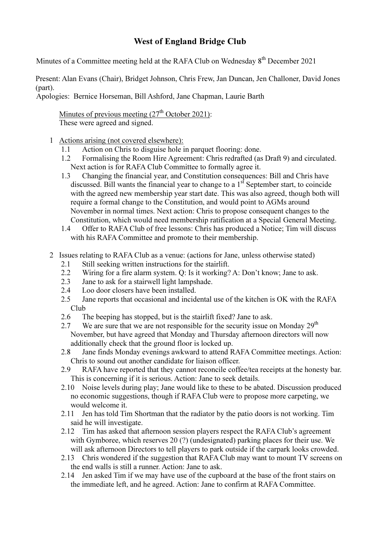## West of England Bridge Club

Minutes of a Committee meeting held at the RAFA Club on Wednesday  $8^{th}$  December 2021

Present: Alan Evans (Chair), Bridget Johnson, Chris Frew, Jan Duncan, Jen Challoner, David Jones (part).

Apologies: Bernice Horseman, Bill Ashford, Jane Chapman, Laurie Barth

Minutes of previous meeting  $(27<sup>th</sup> October 2021)$ : These were agreed and signed.

- 1 Actions arising (not covered elsewhere):
	- 1.1 Action on Chris to disguise hole in parquet flooring: done.
	- 1.2 Formalising the Room Hire Agreement: Chris redrafted (as Draft 9) and circulated. Next action is for RAFA Club Committee to formally agree it.
	- 1.3 Changing the financial year, and Constitution consequences: Bill and Chris have discussed. Bill wants the financial year to change to a  $1<sup>st</sup>$  September start, to coincide with the agreed new membership year start date. This was also agreed, though both will require a formal change to the Constitution, and would point to AGMs around November in normal times. Next action: Chris to propose consequent changes to the Constitution, which would need membership ratification at a Special General Meeting.
	- 1.4 Offer to RAFA Club of free lessons: Chris has produced a Notice; Tim will discuss with his RAFA Committee and promote to their membership.
- 2 Issues relating to RAFA Club as a venue: (actions for Jane, unless otherwise stated)
	- 2.1 Still seeking written instructions for the stairlift.
	- 2.2 Wiring for a fire alarm system. Q: Is it working? A: Don't know; Jane to ask.
	- 2.3 Jane to ask for a stairwell light lampshade.
	- 2.4 Loo door closers have been installed.
	- 2.5 Jane reports that occasional and incidental use of the kitchen is OK with the RAFA Club
	- 2.6 The beeping has stopped, but is the stairlift fixed? Jane to ask.
	- 2.7 We are sure that we are not responsible for the security issue on Monday 29<sup>th</sup> November, but have agreed that Monday and Thursday afternoon directors will now additionally check that the ground floor is locked up.
	- 2.8 Jane finds Monday evenings awkward to attend RAFA Committee meetings. Action: Chris to sound out another candidate for liaison officer.
	- 2.9 RAFA have reported that they cannot reconcile coffee/tea receipts at the honesty bar. This is concerning if it is serious. Action: Jane to seek details.
	- 2.10 Noise levels during play; Jane would like to these to be abated. Discussion produced no economic suggestions, though if RAFA Club were to propose more carpeting, we would welcome it.
	- 2.11 Jen has told Tim Shortman that the radiator by the patio doors is not working. Tim said he will investigate.
	- 2.12 Tim has asked that afternoon session players respect the RAFA Club's agreement with Gymboree, which reserves 20 (?) (undesignated) parking places for their use. We will ask afternoon Directors to tell players to park outside if the carpark looks crowded.
	- 2.13 Chris wondered if the suggestion that RAFA Club may want to mount TV screens on the end walls is still a runner. Action: Jane to ask.
	- 2.14 Jen asked Tim if we may have use of the cupboard at the base of the front stairs on the immediate left, and he agreed. Action: Jane to confirm at RAFA Committee.